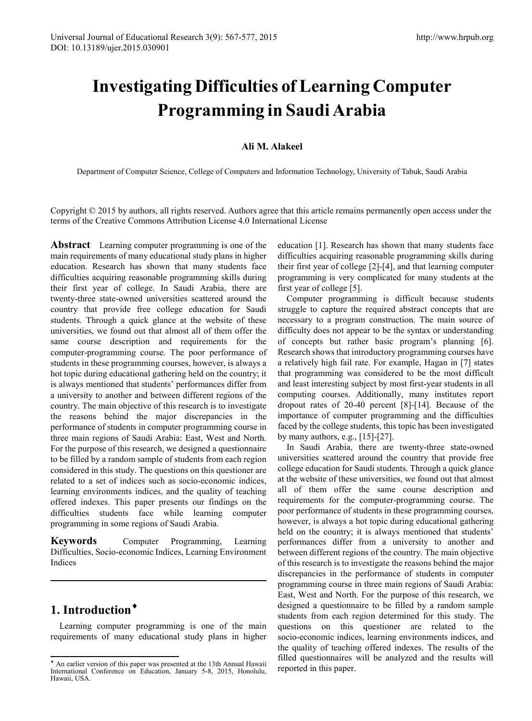# **Investigating Difficulties of Learning Computer Programming in Saudi Arabia**

#### **Ali M. Alakeel**

Department of Computer Science, College of Computers and Information Technology, University of Tabuk, Saudi Arabia

Copyright © 2015 by authors, all rights reserved. Authors agree that this article remains permanently open access under the terms of the Creative Commons Attribution License 4.0 International License

**Abstract** Learning computer programming is one of the main requirements of many educational study plans in higher education. Research has shown that many students face difficulties acquiring reasonable programming skills during their first year of college. In Saudi Arabia, there are twenty-three state-owned universities scattered around the country that provide free college education for Saudi students. Through a quick glance at the website of these universities, we found out that almost all of them offer the same course description and requirements for the computer-programming course. The poor performance of students in these programming courses, however, is always a hot topic during educational gathering held on the country; it is always mentioned that students' performances differ from a university to another and between different regions of the country. The main objective of this research is to investigate the reasons behind the major discrepancies in the performance of students in computer programming course in three main regions of Saudi Arabia: East, West and North. For the purpose of this research, we designed a questionnaire to be filled by a random sample of students from each region considered in this study. The questions on this questioner are related to a set of indices such as socio-economic indices, learning environments indices, and the quality of teaching offered indexes. This paper presents our findings on the difficulties students face while learning computer programming in some regions of Saudi Arabia.

**Keywords** Computer Programming, Learning Difficulties, Socio-economic Indices, Learning Environment Indices

# **1. Introduction**[♦](#page-0-0)

Learning computer programming is one of the main requirements of many educational study plans in higher

education [1]. Research has shown that many students face difficulties acquiring reasonable programming skills during their first year of college [2]-[4], and that learning computer programming is very complicated for many students at the first year of college [5].

Computer programming is difficult because students struggle to capture the required abstract concepts that are necessary to a program construction. The main source of difficulty does not appear to be the syntax or understanding of concepts but rather basic program's planning [6]. Research shows that introductory programming courses have a relatively high fail rate. For example, Hagan in [7] states that programming was considered to be the most difficult and least interesting subject by most first-year students in all computing courses. Additionally, many institutes report dropout rates of 20-40 percent [8]-[14]. Because of the importance of computer programming and the difficulties faced by the college students, this topic has been investigated by many authors, e.g., [15]-[27].

In Saudi Arabia, there are twenty-three state-owned universities scattered around the country that provide free college education for Saudi students. Through a quick glance at the website of these universities, we found out that almost all of them offer the same course description and requirements for the computer-programming course. The poor performance of students in these programming courses, however, is always a hot topic during educational gathering held on the country; it is always mentioned that students' performances differ from a university to another and between different regions of the country. The main objective of this research is to investigate the reasons behind the major discrepancies in the performance of students in computer programming course in three main regions of Saudi Arabia: East, West and North. For the purpose of this research, we designed a questionnaire to be filled by a random sample students from each region determined for this study. The questions on this questioner are related to the socio-economic indices, learning environments indices, and the quality of teaching offered indexes. The results of the filled questionnaires will be analyzed and the results will reported in this paper.

<span id="page-0-0"></span><sup>♦</sup> An earlier version of this paper was presented at the 13th Annual Hawaii International Conference on Education, January 5-8, 2015, Honolulu, Hawaii, USA.  $\overline{a}$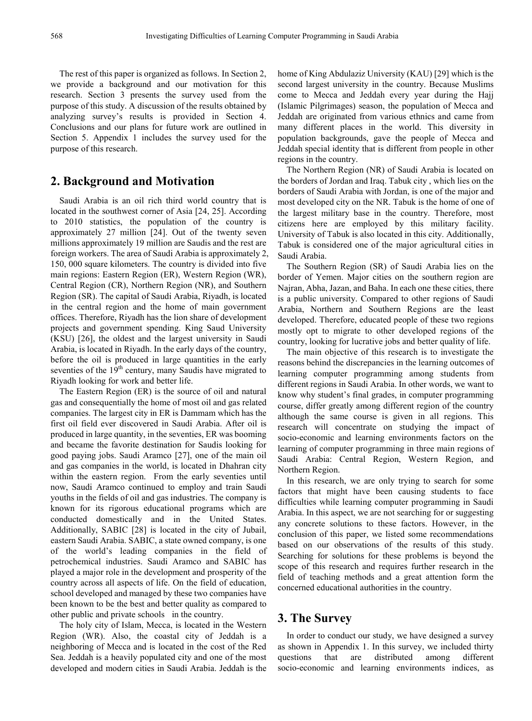The rest of this paper is organized as follows. In Section 2, we provide a background and our motivation for this research. Section 3 presents the survey used from the purpose of this study. A discussion of the results obtained by analyzing survey's results is provided in Section 4. Conclusions and our plans for future work are outlined in Section 5. Appendix 1 includes the survey used for the purpose of this research.

#### **2. Background and Motivation**

Saudi Arabia is an oil rich third world country that is located in the southwest corner of Asia [24, 25]. According to 2010 statistics, the population of the country is approximately 27 million [24]. Out of the twenty seven millions approximately 19 million are Saudis and the rest are foreign workers. The area of Saudi Arabia is approximately 2, 150, 000 square kilometers. The country is divided into five main regions: Eastern Region (ER), Western Region (WR), Central Region (CR), Northern Region (NR), and Southern Region (SR). The capital of Saudi Arabia, Riyadh, is located in the central region and the home of main government offices. Therefore, Riyadh has the lion share of development projects and government spending. King Saud University (KSU) [26], the oldest and the largest university in Saudi Arabia, is located in Riyadh. In the early days of the country, before the oil is produced in large quantities in the early seventies of the 19<sup>th</sup> century, many Saudis have migrated to Riyadh looking for work and better life.

The Eastern Region (ER) is the source of oil and natural gas and consequentially the home of most oil and gas related companies. The largest city in ER is Dammam which has the first oil field ever discovered in Saudi Arabia. After oil is produced in large quantity, in the seventies, ER was booming and became the favorite destination for Saudis looking for good paying jobs. Saudi Aramco [27], one of the main oil and gas companies in the world, is located in Dhahran city within the eastern region. From the early seventies until now, Saudi Aramco continued to employ and train Saudi youths in the fields of oil and gas industries. The company is known for its rigorous educational programs which are conducted domestically and in the United States. Additionally, SABIC [28] is located in the city of Jubail, eastern Saudi Arabia. SABIC, a state owned company, is one of the world's leading companies in the field of petrochemical industries. Saudi Aramco and SABIC has played a major role in the development and prosperity of the country across all aspects of life. On the field of education, school developed and managed by these two companies have been known to be the best and better quality as compared to other public and private schools in the country.

The holy city of Islam, Mecca, is located in the Western Region (WR). Also, the coastal city of Jeddah is a neighboring of Mecca and is located in the cost of the Red Sea. Jeddah is a heavily populated city and one of the most developed and modern cities in Saudi Arabia. Jeddah is the

home of King Abdulaziz University (KAU) [29] which is the second largest university in the country. Because Muslims come to Mecca and Jeddah every year during the Hajj (Islamic Pilgrimages) season, the population of Mecca and Jeddah are originated from various ethnics and came from many different places in the world. This diversity in population backgrounds, gave the people of Mecca and Jeddah special identity that is different from people in other regions in the country.

The Northern Region (NR) of Saudi Arabia is located on the borders of Jordan and Iraq. Tabuk city , which lies on the borders of Saudi Arabia with Jordan, is one of the major and most developed city on the NR. Tabuk is the home of one of the largest military base in the country. Therefore, most citizens here are employed by this military facility. University of Tabuk is also located in this city. Additionally, Tabuk is considered one of the major agricultural cities in Saudi Arabia.

The Southern Region (SR) of Saudi Arabia lies on the border of Yemen. Major cities on the southern region are Najran, Abha, Jazan, and Baha. In each one these cities, there is a public university. Compared to other regions of Saudi Arabia, Northern and Southern Regions are the least developed. Therefore, educated people of these two regions mostly opt to migrate to other developed regions of the country, looking for lucrative jobs and better quality of life.

The main objective of this research is to investigate the reasons behind the discrepancies in the learning outcomes of learning computer programming among students from different regions in Saudi Arabia. In other words, we want to know why student's final grades, in computer programming course, differ greatly among different region of the country although the same course is given in all regions. This research will concentrate on studying the impact of socio-economic and learning environments factors on the learning of computer programming in three main regions of Saudi Arabia: Central Region, Western Region, and Northern Region.

In this research, we are only trying to search for some factors that might have been causing students to face difficulties while learning computer programming in Saudi Arabia. In this aspect, we are not searching for or suggesting any concrete solutions to these factors. However, in the conclusion of this paper, we listed some recommendations based on our observations of the results of this study. Searching for solutions for these problems is beyond the scope of this research and requires further research in the field of teaching methods and a great attention form the concerned educational authorities in the country.

#### **3. The Survey**

In order to conduct our study, we have designed a survey as shown in Appendix 1. In this survey, we included thirty questions that are distributed among different socio-economic and learning environments indices, as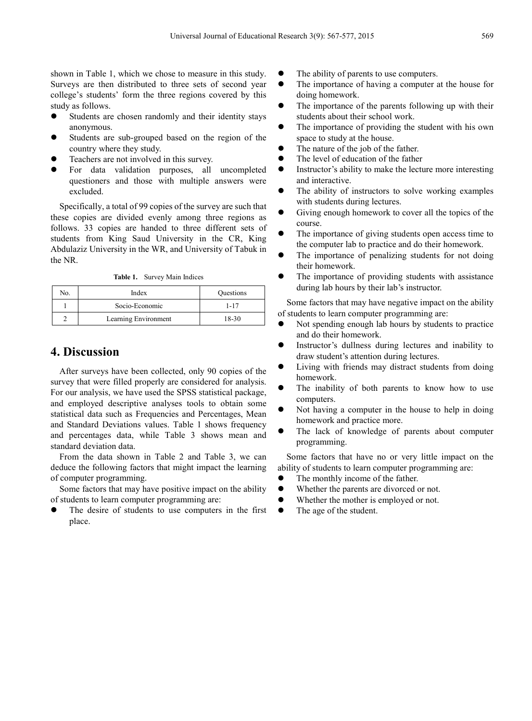shown in Table 1, which we chose to measure in this study. Surveys are then distributed to three sets of second year college's students' form the three regions covered by this study as follows.

- Students are chosen randomly and their identity stays anonymous.
- Students are sub-grouped based on the region of the country where they study.
- Teachers are not involved in this survey.
- For data validation purposes, all uncompleted questioners and those with multiple answers were excluded.

Specifically, a total of 99 copies of the survey are such that these copies are divided evenly among three regions as follows. 33 copies are handed to three different sets of students from King Saud University in the CR, King Abdulaziz University in the WR, and University of Tabuk in the NR.

**Table 1.** Survey Main Indices

| No | Index                | Questions |
|----|----------------------|-----------|
|    | Socio-Economic       | $1 - 17$  |
|    | Learning Environment | $18-30$   |

## **4. Discussion**

After surveys have been collected, only 90 copies of the survey that were filled properly are considered for analysis. For our analysis, we have used the SPSS statistical package, and employed descriptive analyses tools to obtain some statistical data such as Frequencies and Percentages, Mean and Standard Deviations values. Table 1 shows frequency and percentages data, while Table 3 shows mean and standard deviation data.

From the data shown in Table 2 and Table 3, we can deduce the following factors that might impact the learning of computer programming.

Some factors that may have positive impact on the ability of students to learn computer programming are:

 The desire of students to use computers in the first place.

- The ability of parents to use computers.
- The importance of having a computer at the house for doing homework.
- The importance of the parents following up with their students about their school work.
- The importance of providing the student with his own space to study at the house.
- The nature of the job of the father.
- The level of education of the father
- Instructor's ability to make the lecture more interesting and interactive.
- The ability of instructors to solve working examples with students during lectures.
- Giving enough homework to cover all the topics of the course.
- The importance of giving students open access time to the computer lab to practice and do their homework.
- The importance of penalizing students for not doing their homework.
- The importance of providing students with assistance during lab hours by their lab's instructor.

Some factors that may have negative impact on the ability of students to learn computer programming are:

- Not spending enough lab hours by students to practice and do their homework.
- Instructor's dullness during lectures and inability to draw student's attention during lectures.
- Living with friends may distract students from doing homework.
- The inability of both parents to know how to use computers.
- Not having a computer in the house to help in doing homework and practice more.
- The lack of knowledge of parents about computer programming.

Some factors that have no or very little impact on the ability of students to learn computer programming are:

- The monthly income of the father.
- Whether the parents are divorced or not.
- Whether the mother is employed or not.
- The age of the student.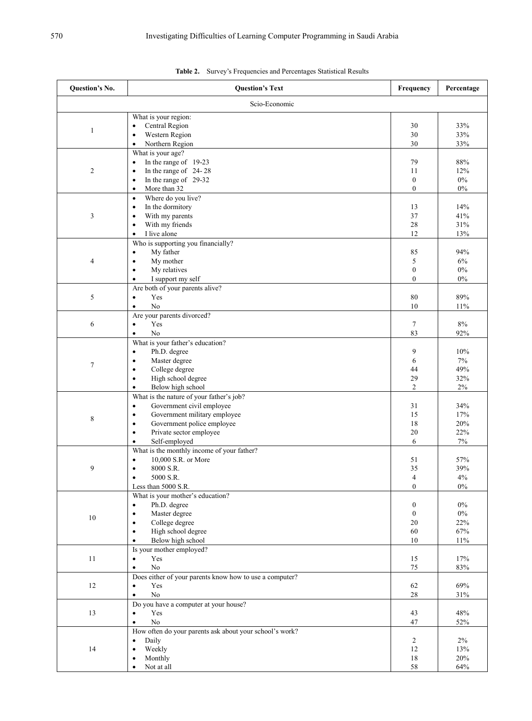| <b>Ouestion's No.</b> | <b>Question's Text</b>                                                 | Frequency        | Percentage |
|-----------------------|------------------------------------------------------------------------|------------------|------------|
|                       | Scio-Economic                                                          |                  |            |
|                       | What is your region:                                                   |                  |            |
| $\mathbf{1}$          | Central Region<br>$\bullet$<br>Western Region<br>$\bullet$             | 30<br>30         | 33%<br>33% |
|                       | Northern Region<br>$\bullet$                                           | 30               | 33%        |
|                       | What is your age?                                                      |                  |            |
|                       | In the range of 19-23<br>$\bullet$                                     | 79               | 88%        |
| $\overline{2}$        | In the range of 24-28<br>$\bullet$                                     | 11               | 12%        |
|                       | In the range of 29-32<br>$\bullet$                                     | $\boldsymbol{0}$ | $0\%$      |
|                       | More than 32<br>$\bullet$                                              | $\boldsymbol{0}$ | $0\%$      |
|                       | Where do you live?<br>$\bullet$                                        |                  |            |
| 3                     | In the dormitory<br>$\bullet$<br>With my parents<br>$\bullet$          | 13<br>37         | 14%<br>41% |
|                       | With my friends<br>$\bullet$                                           | 28               | 31%        |
|                       | I live alone<br>$\bullet$                                              | 12               | 13%        |
|                       | Who is supporting you financially?                                     |                  |            |
|                       | My father<br>$\bullet$                                                 | 85               | 94%        |
| $\overline{4}$        | My mother<br>$\bullet$                                                 | 5                | 6%         |
|                       | My relatives<br>$\bullet$                                              | $\boldsymbol{0}$ | $0\%$      |
|                       | I support my self<br>$\bullet$                                         | $\boldsymbol{0}$ | $0\%$      |
|                       | Are both of your parents alive?                                        |                  |            |
| 5                     | Yes<br>$\bullet$<br>No                                                 | 80               | 89%        |
|                       | $\bullet$<br>Are your parents divorced?                                | 10               | 11%        |
| 6                     | Yes<br>$\bullet$                                                       | $\tau$           | 8%         |
|                       | No<br>$\bullet$                                                        | 83               | 92%        |
|                       | What is your father's education?                                       |                  |            |
|                       | Ph.D. degree<br>$\bullet$                                              | 9                | 10%        |
| $\tau$                | Master degree<br>$\bullet$                                             | 6                | 7%         |
|                       | College degree<br>$\bullet$                                            | 44               | 49%        |
|                       | High school degree<br>$\bullet$                                        | 29               | 32%        |
|                       | Below high school<br>$\bullet$                                         | $\overline{c}$   | 2%         |
|                       | What is the nature of your father's job?<br>$\bullet$                  | 31               | 34%        |
|                       | Government civil employee<br>Government military employee<br>$\bullet$ | 15               | 17%        |
| 8                     | Government police employee<br>$\bullet$                                | 18               | $20\%$     |
|                       | Private sector employee<br>$\bullet$                                   | 20               | 22%        |
|                       | Self-employed<br>$\bullet$                                             | 6                | 7%         |
|                       | What is the monthly income of your father?                             |                  |            |
|                       | 10,000 S.R. or More<br>$\bullet$                                       | 51               | 57%        |
| 9                     | 8000 S.R.<br>$\bullet$                                                 | 35               | 39%        |
|                       | 5000 S.R.<br>٠                                                         | $\overline{4}$   | 4%         |
|                       | Less than 5000 S.R.<br>What is your mother's education?                | $\boldsymbol{0}$ | $0\%$      |
|                       | Ph.D. degree<br>$\bullet$                                              | $\bf{0}$         | $0\%$      |
|                       | Master degree<br>$\bullet$                                             | $\mathbf{0}$     | $0\%$      |
| $10\,$                | College degree<br>$\bullet$                                            | 20               | 22%        |
|                       | High school degree<br>$\bullet$                                        | 60               | 67%        |
|                       | Below high school<br>$\bullet$                                         | 10               | 11%        |
|                       | Is your mother employed?                                               |                  |            |
| 11                    | Yes<br>$\bullet$                                                       | 15               | 17%        |
|                       | No<br>$\bullet$                                                        | 75               | $83\%$     |
|                       | Does either of your parents know how to use a computer?                |                  |            |
| 12                    | Yes<br>$\bullet$<br>No<br>$\bullet$                                    | 62<br>28         | 69%        |
|                       | Do you have a computer at your house?                                  |                  | 31%        |
| 13                    | Yes<br>$\bullet$                                                       | 43               | 48%        |
|                       | No<br>$\bullet$                                                        | 47               | 52%        |
|                       | How often do your parents ask about your school's work?                |                  |            |
|                       | Daily<br>$\bullet$                                                     | $\overline{2}$   | $2\%$      |
| 14                    | Weekly<br>$\bullet$                                                    | 12               | 13%        |
|                       | Monthly<br>٠                                                           | 18               | 20%        |
|                       | Not at all<br>$\bullet$                                                | $58\,$           | 64%        |

|  |  |  |  | Table 2. Survey's Frequencies and Percentages Statistical Results |
|--|--|--|--|-------------------------------------------------------------------|
|--|--|--|--|-------------------------------------------------------------------|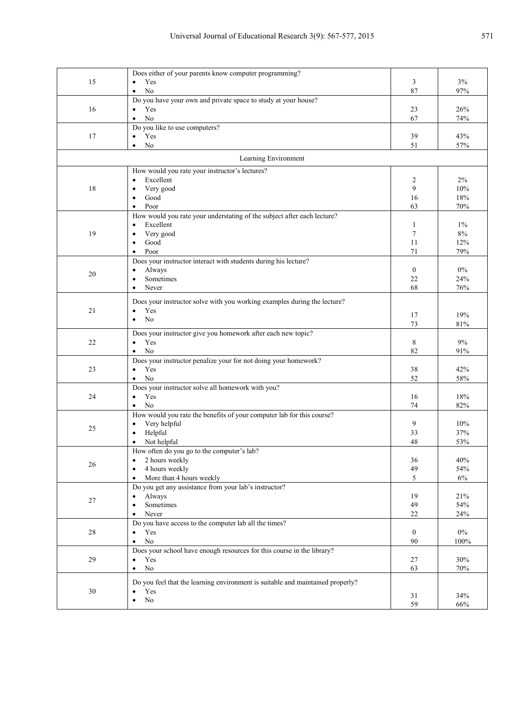|        | Does either of your parents know computer programming?                                             |                  |            |
|--------|----------------------------------------------------------------------------------------------------|------------------|------------|
| 15     | Yes<br>$\bullet$                                                                                   | 3                | 3%         |
|        | No<br>$\bullet$                                                                                    | 87               | 97%        |
|        | Do you have your own and private space to study at your house?                                     |                  |            |
| 16     | Yes<br>$\bullet$                                                                                   | 23               | 26%        |
|        | N <sub>o</sub><br>$\bullet$                                                                        | 67               | 74%        |
|        | Do you like to use computers?                                                                      |                  |            |
| 17     | Yes<br>$\bullet$                                                                                   | 39               | 43%        |
|        | No<br>$\bullet$                                                                                    | 51               | 57%        |
|        | Learning Environment                                                                               |                  |            |
|        | How would you rate your instructor's lectures?                                                     |                  |            |
|        | Excellent<br>$\bullet$                                                                             | 2                | 2%         |
| 18     | Very good<br>$\bullet$                                                                             | 9                | 10%        |
|        | Good<br>$\bullet$                                                                                  | 16               | 18%        |
|        | Poor<br>$\bullet$                                                                                  | 63               | 70%        |
|        | How would you rate your understating of the subject after each lecture?                            |                  |            |
|        | Excellent<br>$\bullet$                                                                             | 1                | $1\%$      |
| 19     | Very good<br>$\bullet$                                                                             | 7                | $8\%$      |
|        | Good<br>$\bullet$                                                                                  | 11               | 12%        |
|        | Poor<br>$\bullet$                                                                                  | 71               | 79%        |
|        | Does your instructor interact with students during his lecture?                                    |                  |            |
| 20     | Always<br>$\bullet$                                                                                | $\boldsymbol{0}$ | $0\%$      |
|        | Sometimes<br>$\bullet$                                                                             | 22               | 24%        |
|        | Never<br>٠                                                                                         | 68               | 76%        |
|        | Does your instructor solve with you working examples during the lecture?                           |                  |            |
| 21     | Yes<br>$\bullet$                                                                                   |                  |            |
|        | N <sub>0</sub><br>$\bullet$                                                                        | 17               | 19%        |
|        |                                                                                                    | 73               | 81%        |
|        | Does your instructor give you homework after each new topic?                                       |                  |            |
| 22     | Yes<br>$\bullet$                                                                                   | 8                | 9%         |
|        | N <sub>o</sub><br>$\bullet$                                                                        | 82               | 91%        |
|        | Does your instructor penalize your for not doing your homework?                                    |                  |            |
| 23     | Yes<br>$\bullet$<br>No<br>$\bullet$                                                                | 38<br>52         | 42%<br>58% |
|        | Does your instructor solve all homework with you?                                                  |                  |            |
| 24     | Yes<br>$\bullet$                                                                                   | 16               | 18%        |
|        | N <sub>o</sub><br>$\bullet$                                                                        | 74               | 82%        |
|        | How would you rate the benefits of your computer lab for this course?                              |                  |            |
|        | Very helpful<br>$\bullet$                                                                          | 9                | 10%        |
| 25     | Helpful<br>$\bullet$                                                                               | 33               | 37%        |
|        | Not helpful                                                                                        | 48               | 53%        |
|        | How often do you go to the computer's lab?                                                         |                  |            |
|        | 2 hours weekly<br>$\bullet$                                                                        | 36               | 40%        |
| 26     | 4 hours weekly                                                                                     | 49               | 54%        |
|        | More than 4 hours weekly<br>$\bullet$                                                              | 5                | 6%         |
|        | Do you get any assistance from your lab's instructor?                                              |                  |            |
|        | Always<br>$\bullet$                                                                                | 19               | 21%        |
| 27     | Sometimes<br>$\bullet$                                                                             | 49               | 54%        |
|        | Never<br>$\bullet$                                                                                 | 22               | 24%        |
|        | Do you have access to the computer lab all the times?                                              |                  |            |
| $28\,$ | Yes<br>$\bullet$                                                                                   | $\mathbf{0}$     | $0\%$      |
|        | $\rm No$<br>$\bullet$                                                                              | 90               | 100%       |
|        | Does your school have enough resources for this course in the library?                             |                  |            |
| 29     | Yes<br>$\bullet$                                                                                   | 27               | 30%        |
|        | $\rm No$<br>$\bullet$                                                                              | 63               | 70%        |
|        |                                                                                                    |                  |            |
| $30\,$ | Do you feel that the learning environment is suitable and maintained properly?<br>Yes<br>$\bullet$ |                  |            |
|        | $\rm No$<br>$\bullet$                                                                              | 31               | 34%        |
|        |                                                                                                    | 59               | 66%        |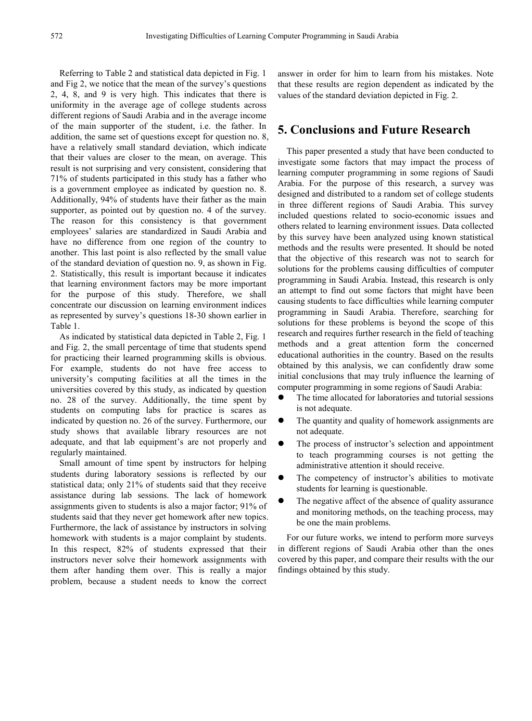Referring to Table 2 and statistical data depicted in Fig. 1 and Fig 2, we notice that the mean of the survey's questions 2, 4, 8, and 9 is very high. This indicates that there is uniformity in the average age of college students across different regions of Saudi Arabia and in the average income of the main supporter of the student, i.e. the father. In addition, the same set of questions except for question no. 8, have a relatively small standard deviation, which indicate that their values are closer to the mean, on average. This result is not surprising and very consistent, considering that 71% of students participated in this study has a father who is a government employee as indicated by question no. 8. Additionally, 94% of students have their father as the main supporter, as pointed out by question no. 4 of the survey. The reason for this consistency is that government employees' salaries are standardized in Saudi Arabia and have no difference from one region of the country to another. This last point is also reflected by the small value of the standard deviation of question no. 9, as shown in Fig. 2. Statistically, this result is important because it indicates that learning environment factors may be more important for the purpose of this study. Therefore, we shall concentrate our discussion on learning environment indices as represented by survey's questions 18-30 shown earlier in Table 1.

As indicated by statistical data depicted in Table 2, Fig. 1 and Fig. 2, the small percentage of time that students spend for practicing their learned programming skills is obvious. For example, students do not have free access to university's computing facilities at all the times in the universities covered by this study, as indicated by question no. 28 of the survey. Additionally, the time spent by students on computing labs for practice is scares as indicated by question no. 26 of the survey. Furthermore, our study shows that available library resources are not adequate, and that lab equipment's are not properly and regularly maintained.

Small amount of time spent by instructors for helping students during laboratory sessions is reflected by our statistical data; only 21% of students said that they receive assistance during lab sessions. The lack of homework assignments given to students is also a major factor; 91% of students said that they never get homework after new topics. Furthermore, the lack of assistance by instructors in solving homework with students is a major complaint by students. In this respect, 82% of students expressed that their instructors never solve their homework assignments with them after handing them over. This is really a major problem, because a student needs to know the correct

answer in order for him to learn from his mistakes. Note that these results are region dependent as indicated by the values of the standard deviation depicted in Fig. 2.

### **5. Conclusions and Future Research**

This paper presented a study that have been conducted to investigate some factors that may impact the process of learning computer programming in some regions of Saudi Arabia. For the purpose of this research, a survey was designed and distributed to a random set of college students in three different regions of Saudi Arabia. This survey included questions related to socio-economic issues and others related to learning environment issues. Data collected by this survey have been analyzed using known statistical methods and the results were presented. It should be noted that the objective of this research was not to search for solutions for the problems causing difficulties of computer programming in Saudi Arabia. Instead, this research is only an attempt to find out some factors that might have been causing students to face difficulties while learning computer programming in Saudi Arabia. Therefore, searching for solutions for these problems is beyond the scope of this research and requires further research in the field of teaching methods and a great attention form the concerned educational authorities in the country. Based on the results obtained by this analysis, we can confidently draw some initial conclusions that may truly influence the learning of computer programming in some regions of Saudi Arabia:

- The time allocated for laboratories and tutorial sessions is not adequate.
- The quantity and quality of homework assignments are not adequate.
- The process of instructor's selection and appointment to teach programming courses is not getting the administrative attention it should receive.
- The competency of instructor's abilities to motivate students for learning is questionable.
- The negative affect of the absence of quality assurance and monitoring methods, on the teaching process, may be one the main problems.

For our future works, we intend to perform more surveys in different regions of Saudi Arabia other than the ones covered by this paper, and compare their results with the our findings obtained by this study.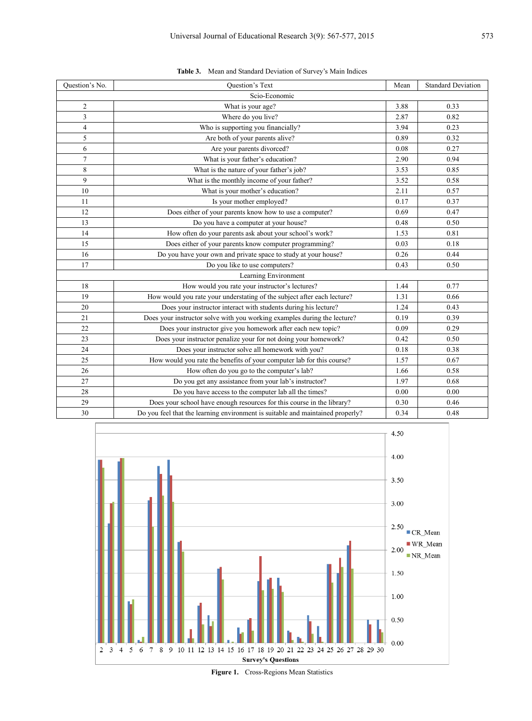| Question's No.          | <b>Ouestion's Text</b>                                                         | Mean | <b>Standard Deviation</b> |
|-------------------------|--------------------------------------------------------------------------------|------|---------------------------|
|                         | Scio-Economic                                                                  |      |                           |
| $\overline{2}$          | What is your age?                                                              | 3.88 | 0.33                      |
| 3                       | Where do you live?                                                             | 2.87 | 0.82                      |
| $\overline{\mathbf{4}}$ | Who is supporting you financially?                                             | 3.94 | 0.23                      |
| 5                       | Are both of your parents alive?                                                | 0.89 | 0.32                      |
| 6                       | Are your parents divorced?                                                     | 0.08 | 0.27                      |
| 7                       | What is your father's education?                                               | 2.90 | 0.94                      |
| 8                       | What is the nature of your father's job?                                       | 3.53 | 0.85                      |
| 9                       | What is the monthly income of your father?                                     | 3.52 | 0.58                      |
| 10                      | What is your mother's education?                                               | 2.11 | 0.57                      |
| 11                      | Is your mother employed?                                                       | 0.17 | 0.37                      |
| 12                      | Does either of your parents know how to use a computer?                        | 0.69 | 0.47                      |
| 13                      | Do you have a computer at your house?                                          | 0.48 | 0.50                      |
| 14                      | How often do your parents ask about your school's work?                        | 1.53 | 0.81                      |
| 15                      | Does either of your parents know computer programming?                         | 0.03 | 0.18                      |
| 16                      | Do you have your own and private space to study at your house?                 | 0.26 | 0.44                      |
| 17                      | Do you like to use computers?                                                  | 0.43 | 0.50                      |
|                         | Learning Environment                                                           |      |                           |
| 18                      | How would you rate your instructor's lectures?                                 | 1.44 | 0.77                      |
| 19                      | How would you rate your understating of the subject after each lecture?        | 1.31 | 0.66                      |
| 20                      | Does your instructor interact with students during his lecture?                | 1.24 | 0.43                      |
| 21                      | Does your instructor solve with you working examples during the lecture?       | 0.19 | 0.39                      |
| 22                      | Does your instructor give you homework after each new topic?                   | 0.09 | 0.29                      |
| 23                      | Does your instructor penalize your for not doing your homework?                | 0.42 | 0.50                      |
| 24                      | Does your instructor solve all homework with you?                              | 0.18 | 0.38                      |
| 25                      | How would you rate the benefits of your computer lab for this course?          | 1.57 | 0.67                      |
| 26                      | How often do you go to the computer's lab?                                     | 1.66 | 0.58                      |
| 27                      | Do you get any assistance from your lab's instructor?                          | 1.97 | 0.68                      |
| 28                      | Do you have access to the computer lab all the times?                          | 0.00 | 0.00                      |
| 29                      | Does your school have enough resources for this course in the library?         | 0.30 | 0.46                      |
| 30                      | Do you feel that the learning environment is suitable and maintained properly? | 0.34 | 0.48                      |





**Figure 1.** Cross-Regions Mean Statistics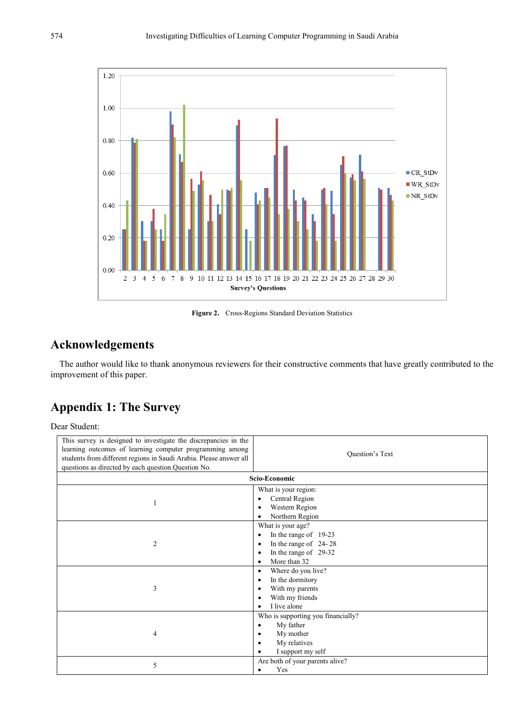

Figure 2. Cross-Regions Standard Deviation Statistics

# **Acknowledgements**

The author would like to thank anonymous reviewers for their constructive comments that have greatly contributed to the improvement of this paper.

# **Appendix 1: The Survey**

Dear Student:

| This survey is designed to investigate the discrepancies in the<br>learning outcomes of learning computer programming among<br>students from different regions in Saudi Arabia. Please answer all<br>questions as directed by each question. Question No. | Question's Text                                                                                                                                          |
|-----------------------------------------------------------------------------------------------------------------------------------------------------------------------------------------------------------------------------------------------------------|----------------------------------------------------------------------------------------------------------------------------------------------------------|
|                                                                                                                                                                                                                                                           | Scio-Economic                                                                                                                                            |
| 1                                                                                                                                                                                                                                                         | What is your region:<br>Central Region<br>$\bullet$<br>Western Region<br>Northern Region                                                                 |
| $\overline{c}$                                                                                                                                                                                                                                            | What is your age?<br>In the range of 19-23<br>$\bullet$<br>In the range of 24-28<br>$\bullet$<br>In the range of 29-32<br>٠<br>More than 32<br>$\bullet$ |
| 3                                                                                                                                                                                                                                                         | Where do you live?<br>$\bullet$<br>In the dormitory<br>$\bullet$<br>With my parents<br>٠<br>With my friends<br>I live alone<br>$\bullet$                 |
| 4                                                                                                                                                                                                                                                         | Who is supporting you financially?<br>My father<br>$\bullet$<br>My mother<br>٠<br>My relatives<br>I support my self                                      |
| 5                                                                                                                                                                                                                                                         | Are both of your parents alive?<br>Yes                                                                                                                   |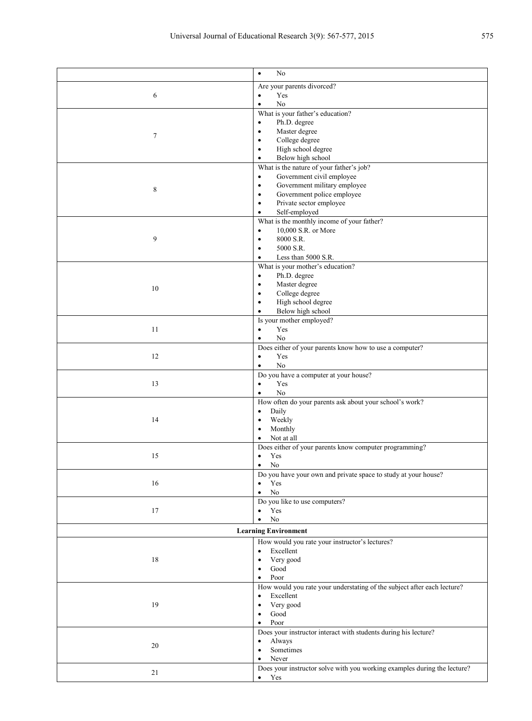|                                                | No<br>$\bullet$                                                          |  |
|------------------------------------------------|--------------------------------------------------------------------------|--|
|                                                | Are your parents divorced?                                               |  |
| 6                                              | Yes<br>$\bullet$                                                         |  |
|                                                | No<br>٠                                                                  |  |
|                                                | What is your father's education?                                         |  |
|                                                | Ph.D. degree<br>$\bullet$                                                |  |
| 7                                              | Master degree<br>$\bullet$                                               |  |
|                                                | College degree                                                           |  |
|                                                | High school degree<br>$\bullet$                                          |  |
|                                                | Below high school<br>$\bullet$                                           |  |
|                                                | What is the nature of your father's job?                                 |  |
|                                                | Government civil employee<br>$\bullet$                                   |  |
| 8                                              | Government military employee<br>$\bullet$                                |  |
|                                                | Government police employee<br>$\bullet$                                  |  |
|                                                | Private sector employee                                                  |  |
|                                                | Self-employed<br>٠                                                       |  |
|                                                | What is the monthly income of your father?                               |  |
|                                                | 10,000 S.R. or More<br>$\bullet$                                         |  |
| 9                                              | 8000 S.R.<br>$\bullet$                                                   |  |
|                                                | 5000 S.R.<br>٠                                                           |  |
|                                                | Less than 5000 S.R.                                                      |  |
|                                                | What is your mother's education?                                         |  |
|                                                | Ph.D. degree<br>$\bullet$                                                |  |
| 10                                             | Master degree                                                            |  |
|                                                | College degree<br>$\bullet$                                              |  |
|                                                | High school degree                                                       |  |
|                                                | Below high school                                                        |  |
|                                                | Is your mother employed?                                                 |  |
| 11                                             | Yes<br>$\bullet$                                                         |  |
|                                                | No<br>٠                                                                  |  |
|                                                | Does either of your parents know how to use a computer?                  |  |
| 12                                             | Yes<br>$\bullet$                                                         |  |
|                                                | No<br>$\bullet$                                                          |  |
|                                                | Do you have a computer at your house?                                    |  |
| 13                                             | Yes<br>$\bullet$                                                         |  |
|                                                | No<br>$\bullet$                                                          |  |
|                                                | How often do your parents ask about your school's work?                  |  |
|                                                | Daily<br>$\bullet$                                                       |  |
| 14                                             | Weekly                                                                   |  |
|                                                | Monthly                                                                  |  |
|                                                | Not at all                                                               |  |
|                                                | Does either of your parents know computer programming?                   |  |
| 15                                             | Yes<br>٠                                                                 |  |
|                                                | $\rm No$                                                                 |  |
|                                                | Do you have your own and private space to study at your house?           |  |
| 16                                             | Yes                                                                      |  |
|                                                | No<br>$\bullet$                                                          |  |
|                                                | Do you like to use computers?                                            |  |
| 17                                             | Yes<br>$\bullet$                                                         |  |
|                                                | No                                                                       |  |
| <b>Learning Environment</b>                    |                                                                          |  |
| How would you rate your instructor's lectures? |                                                                          |  |
|                                                | Excellent<br>$\bullet$                                                   |  |
| 18                                             | Very good<br>$\bullet$                                                   |  |
|                                                | Good                                                                     |  |
|                                                | Poor<br>٠                                                                |  |
|                                                | How would you rate your understating of the subject after each lecture?  |  |
| 19                                             | Excellent<br>$\bullet$                                                   |  |
|                                                | Very good                                                                |  |
|                                                | Good<br>٠                                                                |  |
|                                                | Poor<br>٠                                                                |  |
|                                                | Does your instructor interact with students during his lecture?          |  |
|                                                | Always<br>$\bullet$                                                      |  |
| $20\,$                                         | Sometimes<br>٠                                                           |  |
|                                                | Never                                                                    |  |
|                                                | Does your instructor solve with you working examples during the lecture? |  |
| 21                                             | Yes<br>$\bullet$                                                         |  |
|                                                |                                                                          |  |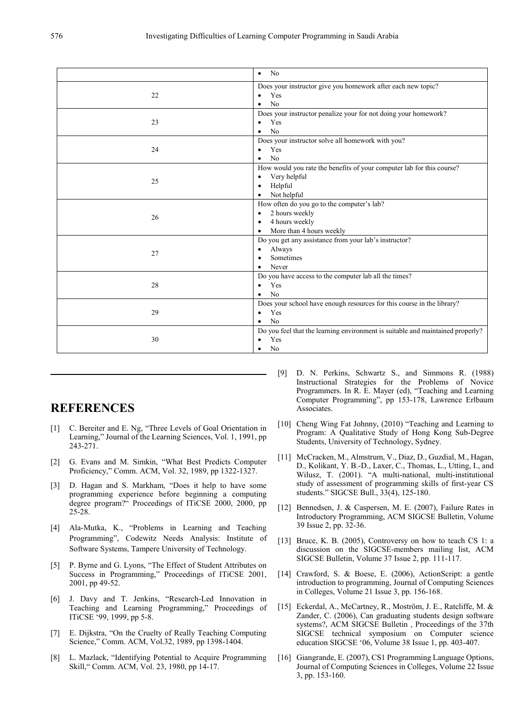|    | N <sub>0</sub><br>$\bullet$                                                                                                       |
|----|-----------------------------------------------------------------------------------------------------------------------------------|
| 22 | Does your instructor give you homework after each new topic?<br>Yes<br>No                                                         |
| 23 | Does your instructor penalize your for not doing your homework?<br>Yes<br>No<br>٠                                                 |
| 24 | Does your instructor solve all homework with you?<br>Yes<br>No                                                                    |
| 25 | How would you rate the benefits of your computer lab for this course?<br>Very helpful<br>٠<br>Helpful<br>٠<br>Not helpful         |
| 26 | How often do you go to the computer's lab?<br>2 hours weekly<br>٠<br>4 hours weekly<br>$\bullet$<br>More than 4 hours weekly<br>٠ |
| 27 | Do you get any assistance from your lab's instructor?<br>Always<br>Sometimes<br>Never                                             |
| 28 | Do you have access to the computer lab all the times?<br>Yes<br>$\bullet$<br>No                                                   |
| 29 | Does your school have enough resources for this course in the library?<br>Yes<br>No                                               |
| 30 | Do you feel that the learning environment is suitable and maintained properly?<br>Yes<br>No                                       |

## **REFERENCES**

- [1] C. Bereiter and E. Ng, "Three Levels of Goal Orientation in Learning," Journal of the Learning Sciences, Vol. 1, 1991, pp 243-271.
- [2] G. Evans and M. Simkin, "What Best Predicts Computer Proficiency," Comm. ACM, Vol. 32, 1989, pp 1322-1327.
- [3] D. Hagan and S. Markham, "Does it help to have some programming experience before beginning a computing degree program?<sup>"</sup> Proceedings of ITiCSE 2000, 2000, pp 25-28.
- [4] Ala-Mutka, K., "Problems in Learning and Teaching Programming", Codewitz Needs Analysis: Institute of Software Systems, Tampere University of Technology.
- [5] P. Byrne and G. Lyons, "The Effect of Student Attributes on Success in Programming," Proceedings of ITiCSE 2001, 2001, pp 49-52.
- [6] J. Davy and T. Jenkins, "Research-Led Innovation in Teaching and Learning Programming," Proceedings of ITiCSE '99, 1999, pp 5-8.
- [7] E. Dijkstra, "On the Cruelty of Really Teaching Computing Science," Comm. ACM, Vol.32, 1989, pp 1398-1404.
- [8] L. Mazlack, "Identifying Potential to Acquire Programming Skill," Comm. ACM, Vol. 23, 1980, pp 14-17.
- [9] D. N. Perkins, Schwartz S., and Simmons R. (1988) Instructional Strategies for the Problems of Novice Programmers. In R. E. Mayer (ed), "Teaching and Learning Computer Programming", pp 153-178, Lawrence Erlbaum Associates.
- [10] Cheng Wing Fat Johnny, (2010) "Teaching and Learning to Program: A Qualitative Study of Hong Kong Sub-Degree Students, University of Technology, Sydney.
- [11] McCracken, M., Almstrum, V., Diaz, D., Guzdial, M., Hagan, D., Kolikant, Y. B.-D., Laxer, C., Thomas, L., Utting, I., and Wilusz, T. (2001). "A multi-national, multi-institutional study of assessment of programming skills of first-year CS students." SIGCSE Bull., 33(4), 125-180.
- [12] Bennedsen, J. & Caspersen, M. E. (2007), Failure Rates in Introductory Programming, ACM SIGCSE Bulletin, Volume 39 Issue 2, pp. 32-36.
- [13] Bruce, K. B. (2005), Controversy on how to teach CS 1: a discussion on the SIGCSE-members mailing list, ACM SIGCSE Bulletin, Volume 37 Issue 2, pp. 111-117.
- [14] Crawford, S. & Boese, E. (2006), ActionScript: a gentle introduction to programming, Journal of Computing Sciences in Colleges, Volume 21 Issue 3, pp. 156-168.
- [15] Eckerdal, A., McCartney, R., Moström, J. E., Ratcliffe, M. & Zander, C. (2006), Can graduating students design software systems?, ACM SIGCSE Bulletin , Proceedings of the 37th SIGCSE technical symposium on Computer science education SIGCSE '06, Volume 38 Issue 1, pp. 403-407.
- [16] Giangrande, E. (2007), CS1 Programming Language Options, Journal of Computing Sciences in Colleges, Volume 22 Issue 3, pp. 153-160.